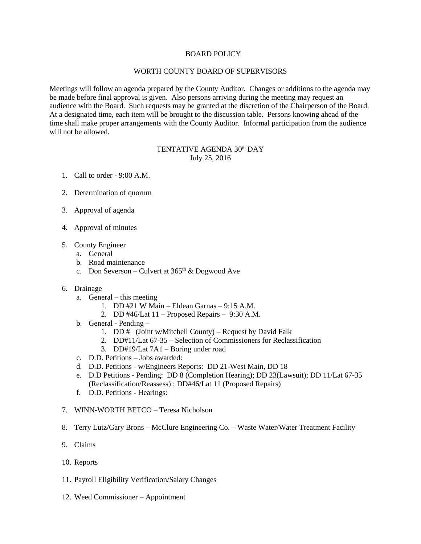## BOARD POLICY

## WORTH COUNTY BOARD OF SUPERVISORS

Meetings will follow an agenda prepared by the County Auditor. Changes or additions to the agenda may be made before final approval is given. Also persons arriving during the meeting may request an audience with the Board. Such requests may be granted at the discretion of the Chairperson of the Board. At a designated time, each item will be brought to the discussion table. Persons knowing ahead of the time shall make proper arrangements with the County Auditor. Informal participation from the audience will not be allowed.

# TENTATIVE AGENDA 30<sup>th</sup> DAY July 25, 2016

- 1. Call to order 9:00 A.M.
- 2. Determination of quorum
- 3. Approval of agenda
- 4. Approval of minutes
- 5. County Engineer
	- a. General
	- b. Road maintenance
	- c. Don Severson Culvert at  $365<sup>th</sup>$  & Dogwood Ave
- 6. Drainage
	- a. General this meeting
		- 1. DD #21 W Main Eldean Garnas 9:15 A.M.
		- 2. DD #46/Lat 11 Proposed Repairs 9:30 A.M.
	- b. General Pending
		- 1. DD # (Joint w/Mitchell County) Request by David Falk
		- 2. DD#11/Lat 67-35 Selection of Commissioners for Reclassification
		- 3. DD#19/Lat 7A1 Boring under road
	- c. D.D. Petitions Jobs awarded:
	- d. D.D. Petitions w/Engineers Reports: DD 21-West Main, DD 18
	- e. D.D Petitions Pending: DD 8 (Completion Hearing); DD 23(Lawsuit); DD 11/Lat 67-35 (Reclassification/Reassess) ; DD#46/Lat 11 (Proposed Repairs)
	- f. D.D. Petitions Hearings:
- 7. WINN-WORTH BETCO Teresa Nicholson
- 8. Terry Lutz/Gary Brons McClure Engineering Co. Waste Water/Water Treatment Facility
- 9. Claims
- 10. Reports
- 11. Payroll Eligibility Verification/Salary Changes
- 12. Weed Commissioner Appointment